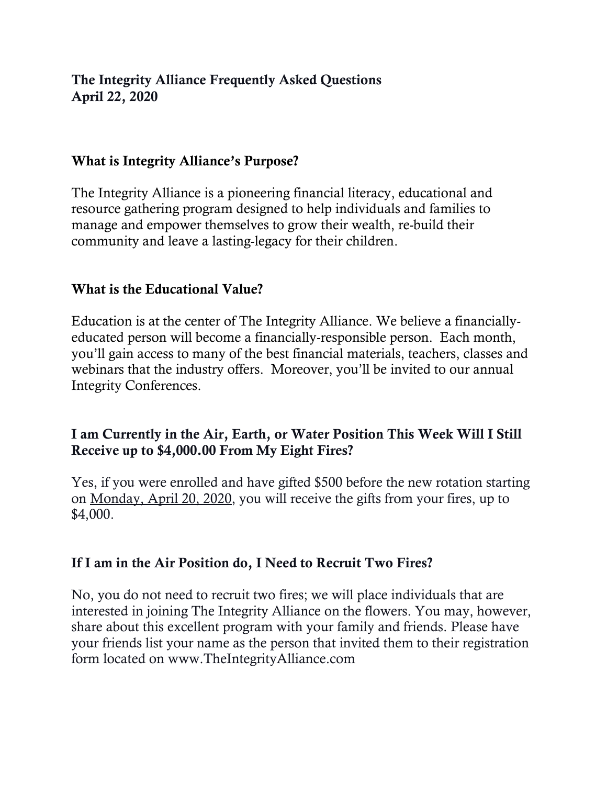# The Integrity Alliance Frequently Asked Questions April 22, 2020

## What is Integrity Alliance's Purpose?

The Integrity Alliance is a pioneering financial literacy, educational and resource gathering program designed to help individuals and families to manage and empower themselves to grow their wealth, re-build their community and leave a lasting-legacy for their children.

### What is the Educational Value?

Education is at the center of The Integrity Alliance. We believe a financiallyeducated person will become a financially-responsible person. Each month, you'll gain access to many of the best financial materials, teachers, classes and webinars that the industry offers. Moreover, you'll be invited to our annual Integrity Conferences.

# I am Currently in the Air, Earth, or Water Position This Week Will I Still Receive up to \$4,000.00 From My Eight Fires?

Yes, if you were enrolled and have gifted \$500 before the new rotation starting on Monday, April 20, 2020, you will receive the gifts from your fires, up to \$4,000.

#### If I am in the Air Position do, I Need to Recruit Two Fires?

No, you do not need to recruit two fires; we will place individuals that are interested in joining The Integrity Alliance on the flowers. You may, however, share about this excellent program with your family and friends. Please have your friends list your name as the person that invited them to their registration form located on www.TheIntegrityAlliance.com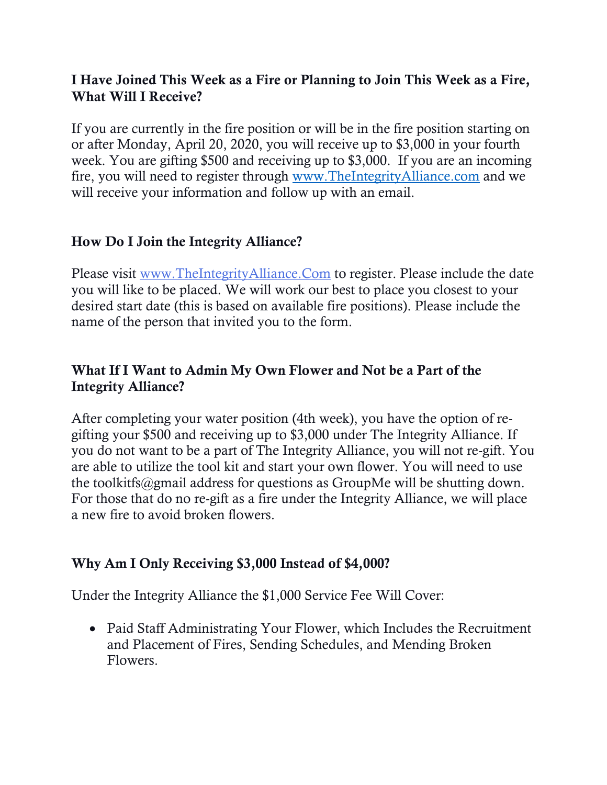# I Have Joined This Week as a Fire or Planning to Join This Week as a Fire, What Will I Receive?

If you are currently in the fire position or will be in the fire position starting on or after Monday, April 20, 2020, you will receive up to \$3,000 in your fourth week. You are gifting \$500 and receiving up to \$3,000. If you are an incoming fire, you will need to register through [www.TheIntegrityAlliance.com](http://www.theintegrityalliance.com/) and we will receive your information and follow up with an email.

# How Do I Join the Integrity Alliance?

Please visit [www.TheIntegrityAlliance.Com](http://www.theintegrityalliance.com/) to register. Please include the date you will like to be placed. We will work our best to place you closest to your desired start date (this is based on available fire positions). Please include the name of the person that invited you to the form.

# What If I Want to Admin My Own Flower and Not be a Part of the Integrity Alliance?

After completing your water position (4th week), you have the option of regifting your \$500 and receiving up to \$3,000 under The Integrity Alliance. If you do not want to be a part of The Integrity Alliance, you will not re-gift. You are able to utilize the tool kit and start your own flower. You will need to use the toolkitfs@gmail address for questions as GroupMe will be shutting down. For those that do no re-gift as a fire under the Integrity Alliance, we will place a new fire to avoid broken flowers.

## Why Am I Only Receiving \$3,000 Instead of \$4,000?

Under the Integrity Alliance the \$1,000 Service Fee Will Cover:

• Paid Staff Administrating Your Flower, which Includes the Recruitment and Placement of Fires, Sending Schedules, and Mending Broken Flowers.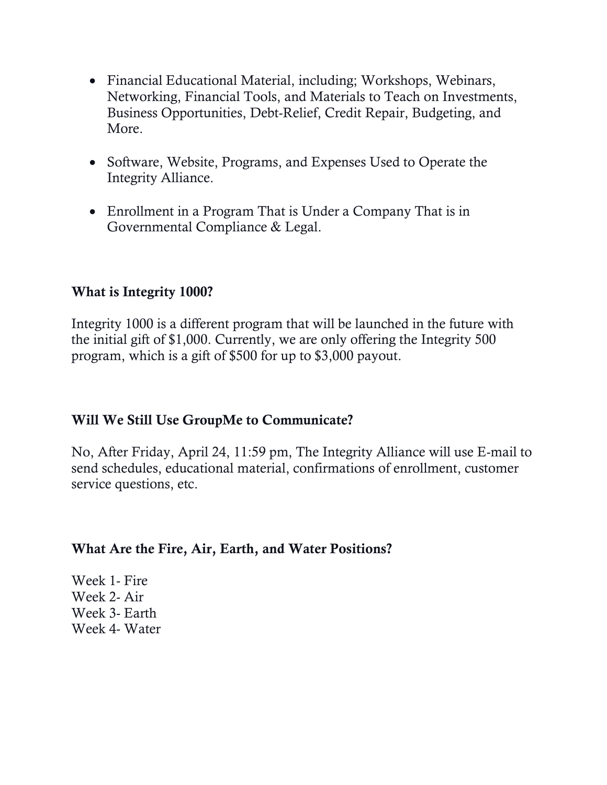- Financial Educational Material, including; Workshops, Webinars, Networking, Financial Tools, and Materials to Teach on Investments, Business Opportunities, Debt-Relief, Credit Repair, Budgeting, and More.
- Software, Website, Programs, and Expenses Used to Operate the Integrity Alliance.
- Enrollment in a Program That is Under a Company That is in Governmental Compliance & Legal.

## What is Integrity 1000?

Integrity 1000 is a different program that will be launched in the future with the initial gift of \$1,000. Currently, we are only offering the Integrity 500 program, which is a gift of \$500 for up to \$3,000 payout.

# Will We Still Use GroupMe to Communicate?

No, After Friday, April 24, 11:59 pm, The Integrity Alliance will use E-mail to send schedules, educational material, confirmations of enrollment, customer service questions, etc.

#### What Are the Fire, Air, Earth, and Water Positions?

Week 1- Fire Week 2- Air Week 3- Earth Week 4- Water